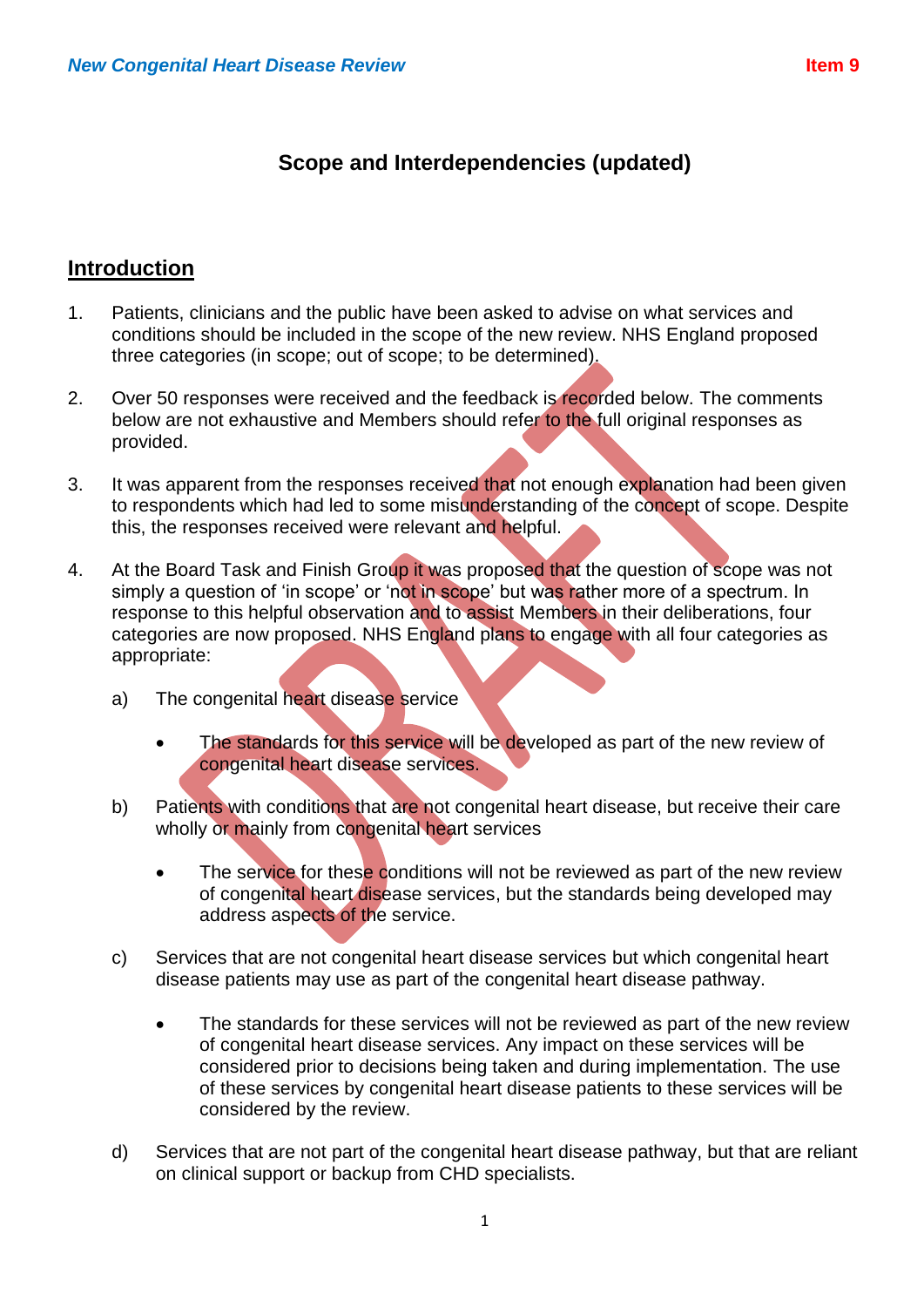# **Scope and Interdependencies (updated)**

## **Introduction**

- 1. Patients, clinicians and the public have been asked to advise on what services and conditions should be included in the scope of the new review. NHS England proposed three categories (in scope; out of scope; to be determined).
- 2. Over 50 responses were received and the feedback is recorded below. The comments below are not exhaustive and Members should refer to the full original responses as provided.
- 3. It was apparent from the responses received that not enough explanation had been given to respondents which had led to some misunderstanding of the concept of scope. Despite this, the responses received were relevant and helpful.
- 4. At the Board Task and Finish Group it was proposed that the question of scope was not simply a question of 'in scope' or 'not in scope' but was rather more of a spectrum. In response to this helpful observation and to assist Members in their deliberations, four categories are now proposed. NHS England plans to engage with all four categories as appropriate:
	- a) The congenital heart disease service
		- The standards for this service will be developed as part of the new review of congenital heart disease services.
	- b) Patients with conditions that are not congenital heart disease, but receive their care wholly or mainly from congenital heart services
		- The service for these conditions will not be reviewed as part of the new review of congenital heart disease services, but the standards being developed may address aspects of the service.
	- c) Services that are not congenital heart disease services but which congenital heart disease patients may use as part of the congenital heart disease pathway.
		- The standards for these services will not be reviewed as part of the new review of congenital heart disease services. Any impact on these services will be considered prior to decisions being taken and during implementation. The use of these services by congenital heart disease patients to these services will be considered by the review.
	- d) Services that are not part of the congenital heart disease pathway, but that are reliant on clinical support or backup from CHD specialists.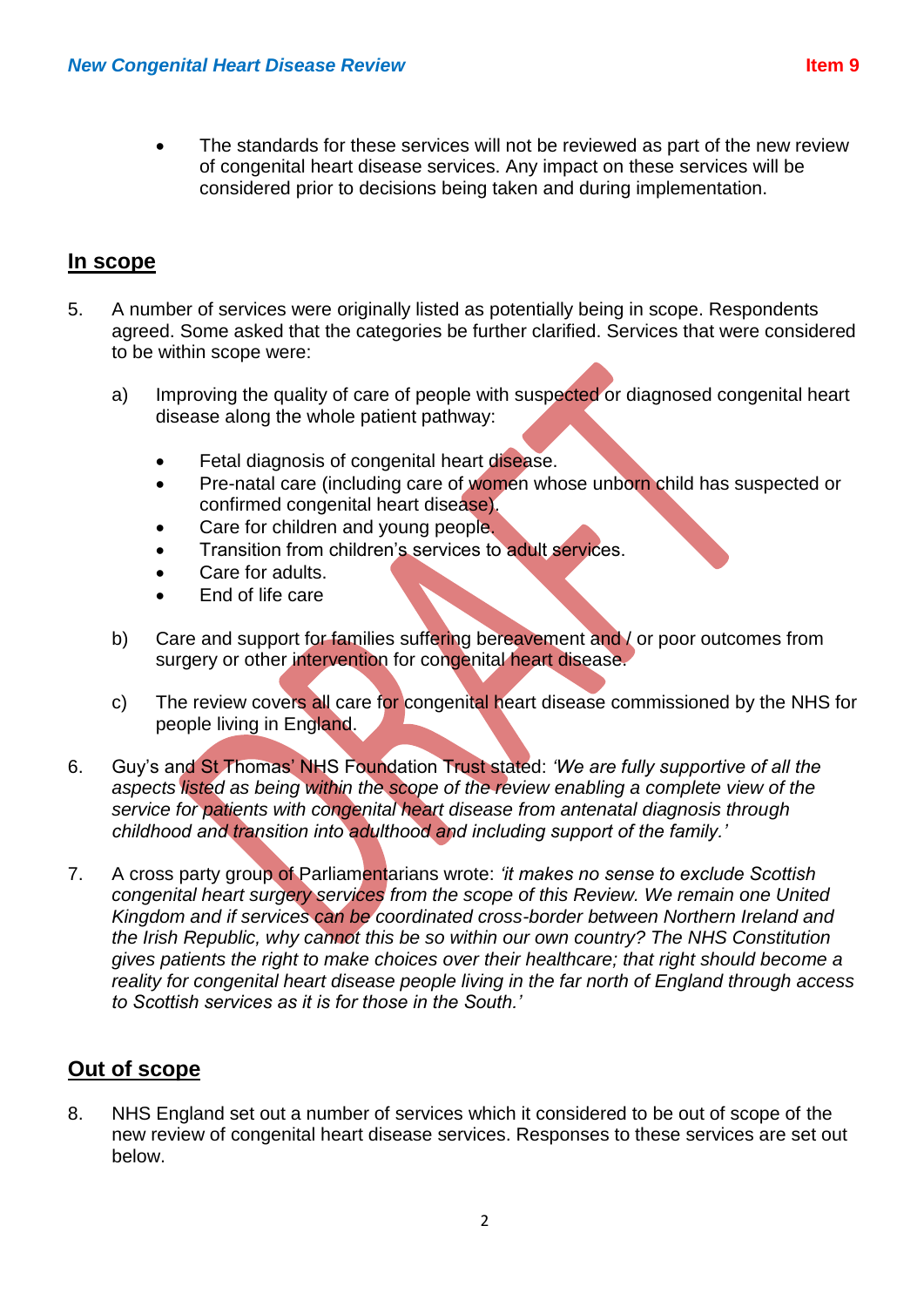The standards for these services will not be reviewed as part of the new review of congenital heart disease services. Any impact on these services will be considered prior to decisions being taken and during implementation.

## **In scope**

- 5. A number of services were originally listed as potentially being in scope. Respondents agreed. Some asked that the categories be further clarified. Services that were considered to be within scope were:
	- a) Improving the quality of care of people with suspected or diagnosed congenital heart disease along the whole patient pathway:
		- Fetal diagnosis of congenital heart disease.
		- Pre-natal care (including care of women whose unborn child has suspected or confirmed congenital heart disease).
		- Care for children and young people.
		- Transition from children's services to adult services.
		- Care for adults.
		- End of life care
	- b) Care and support for families suffering bereavement and / or poor outcomes from surgery or other intervention for congenital heart disease.
	- c) The review covers all care for congenital heart disease commissioned by the NHS for people living in England.
- 6. Guy's and St Thomas' NHS Foundation Trust stated: *'We are fully supportive of all the aspects listed as being within the scope of the review enabling a complete view of the service for patients with congenital heart disease from antenatal diagnosis through childhood and transition into adulthood and including support of the family.'*
- 7. A cross party group of Parliamentarians wrote: *'it makes no sense to exclude Scottish congenital heart surgery services from the scope of this Review. We remain one United Kingdom and if services can be coordinated cross-border between Northern Ireland and the Irish Republic, why cannot this be so within our own country? The NHS Constitution gives patients the right to make choices over their healthcare; that right should become a reality for congenital heart disease people living in the far north of England through access to Scottish services as it is for those in the South.'*

## **Out of scope**

8. NHS England set out a number of services which it considered to be out of scope of the new review of congenital heart disease services. Responses to these services are set out below.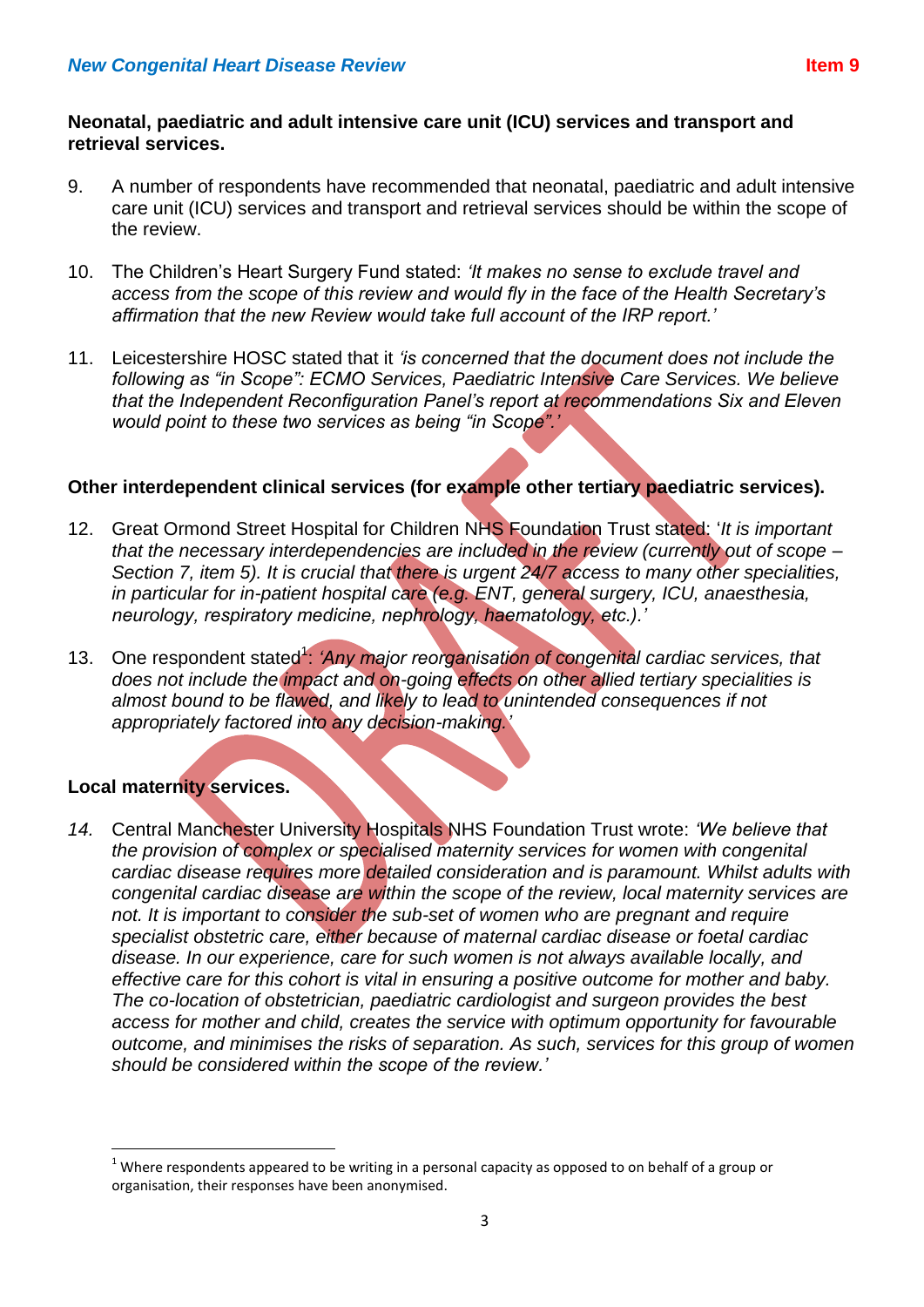#### **Neonatal, paediatric and adult intensive care unit (ICU) services and transport and retrieval services.**

- 9. A number of respondents have recommended that neonatal, paediatric and adult intensive care unit (ICU) services and transport and retrieval services should be within the scope of the review.
- 10. The Children's Heart Surgery Fund stated: *'It makes no sense to exclude travel and access from the scope of this review and would fly in the face of the Health Secretary's affirmation that the new Review would take full account of the IRP report.'*
- 11. Leicestershire HOSC stated that it *'is concerned that the document does not include the following as "in Scope": ECMO Services, Paediatric Intensive Care Services. We believe that the Independent Reconfiguration Panel's report at recommendations Six and Eleven would point to these two services as being "in Scope".'*

## **Other interdependent clinical services (for example other tertiary paediatric services).**

- 12. Great Ormond Street Hospital for Children NHS Foundation Trust stated: '*It is important that the necessary interdependencies are included in the review (currently out of scope – Section 7, item 5). It is crucial that there is urgent 24/7 access to many other specialities, in particular for in-patient hospital care (e.g. ENT, general surgery, ICU, anaesthesia, neurology, respiratory medicine, nephrology, haematology, etc.).'*
- 13. One respondent stated<sup>1</sup>: 'Any major reorganisation of congenital cardiac services, that *does not include the impact and on-going effects on other allied tertiary specialities is almost bound to be flawed, and likely to lead to unintended consequences if not appropriately factored into any decision-making.'*

## **Local maternity services.**

**.** 

*14.* Central Manchester University Hospitals NHS Foundation Trust wrote: *'We believe that the provision of complex or specialised maternity services for women with congenital cardiac disease requires more detailed consideration and is paramount. Whilst adults with congenital cardiac disease are within the scope of the review, local maternity services are not. It is important to consider the sub-set of women who are pregnant and require specialist obstetric care, either because of maternal cardiac disease or foetal cardiac disease. In our experience, care for such women is not always available locally, and effective care for this cohort is vital in ensuring a positive outcome for mother and baby. The co-location of obstetrician, paediatric cardiologist and surgeon provides the best access for mother and child, creates the service with optimum opportunity for favourable outcome, and minimises the risks of separation. As such, services for this group of women should be considered within the scope of the review.'*

 $1$  Where respondents appeared to be writing in a personal capacity as opposed to on behalf of a group or organisation, their responses have been anonymised.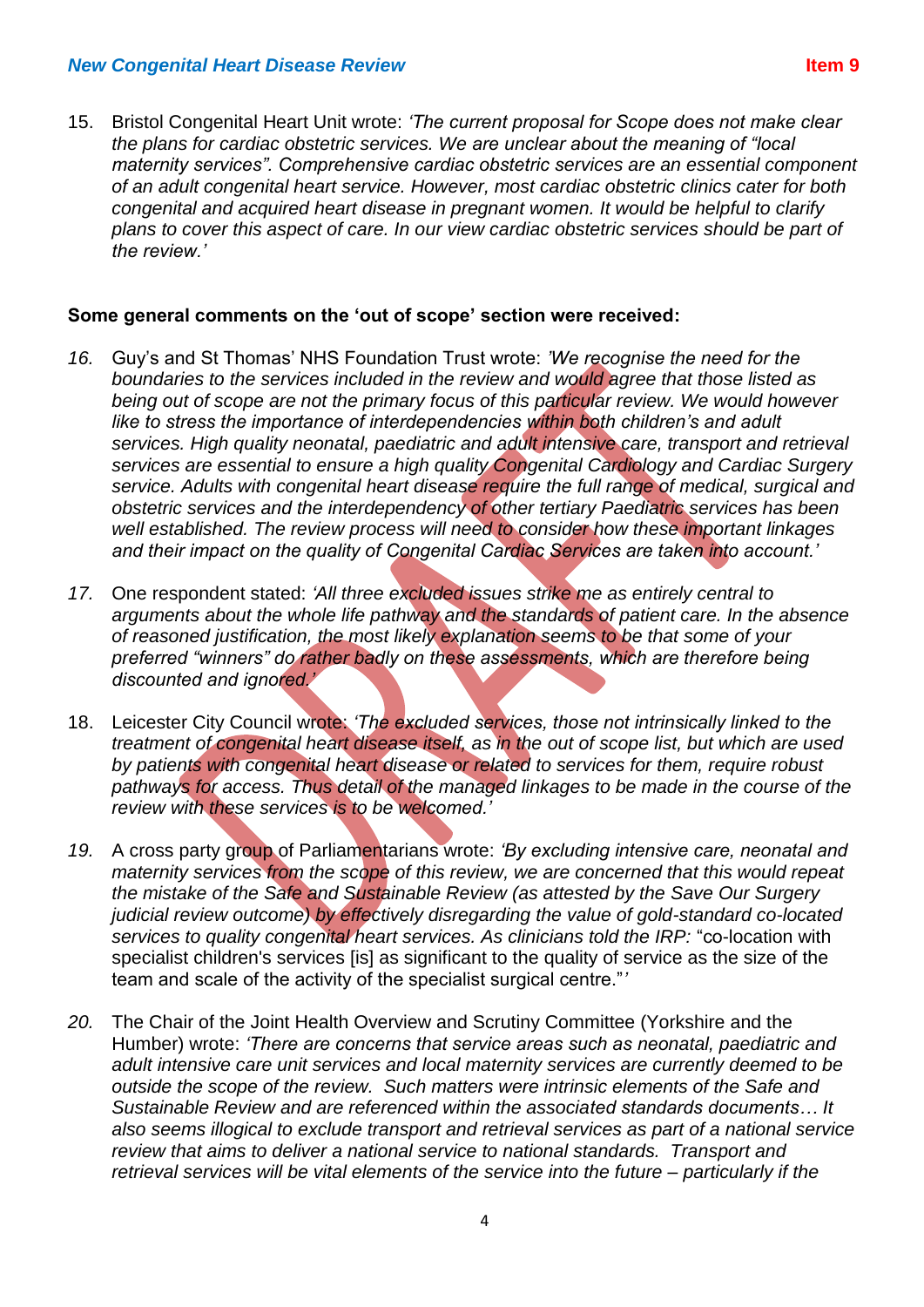15. Bristol Congenital Heart Unit wrote: *'The current proposal for Scope does not make clear the plans for cardiac obstetric services. We are unclear about the meaning of "local maternity services". Comprehensive cardiac obstetric services are an essential component of an adult congenital heart service. However, most cardiac obstetric clinics cater for both congenital and acquired heart disease in pregnant women. It would be helpful to clarify plans to cover this aspect of care. In our view cardiac obstetric services should be part of the review.'*

#### **Some general comments on the 'out of scope' section were received:**

- *16.* Guy's and St Thomas' NHS Foundation Trust wrote: *'We recognise the need for the boundaries to the services included in the review and would agree that those listed as being out of scope are not the primary focus of this particular review. We would however like to stress the importance of interdependencies within both children's and adult services. High quality neonatal, paediatric and adult intensive care, transport and retrieval services are essential to ensure a high quality Congenital Cardiology and Cardiac Surgery service. Adults with congenital heart disease require the full range of medical, surgical and obstetric services and the interdependency of other tertiary Paediatric services has been well established. The review process will need to consider how these important linkages and their impact on the quality of Congenital Cardiac Services are taken into account.'*
- *17.* One respondent stated: *'All three excluded issues strike me as entirely central to arguments about the whole life pathway and the standards of patient care. In the absence of reasoned justification, the most likely explanation seems to be that some of your preferred "winners" do rather badly on these assessments, which are therefore being discounted and ignored.'*
- 18. Leicester City Council wrote: *'The excluded services, those not intrinsically linked to the treatment of congenital heart disease itself, as in the out of scope list, but which are used by patients with congenital heart disease or related to services for them, require robust pathways for access. Thus detail of the managed linkages to be made in the course of the review with these services is to be welcomed.'*
- *19.* A cross party group of Parliamentarians wrote: *'By excluding intensive care, neonatal and maternity services from the scope of this review, we are concerned that this would repeat the mistake of the Safe and Sustainable Review (as attested by the Save Our Surgery judicial review outcome) by effectively disregarding the value of gold-standard co-located services to quality congenital heart services. As clinicians told the IRP:* "co-location with specialist children's services [is] as significant to the quality of service as the size of the team and scale of the activity of the specialist surgical centre."*'*
- *20.* The Chair of the Joint Health Overview and Scrutiny Committee (Yorkshire and the Humber) wrote: *'There are concerns that service areas such as neonatal, paediatric and adult intensive care unit services and local maternity services are currently deemed to be outside the scope of the review. Such matters were intrinsic elements of the Safe and Sustainable Review and are referenced within the associated standards documents… It also seems illogical to exclude transport and retrieval services as part of a national service review that aims to deliver a national service to national standards. Transport and retrieval services will be vital elements of the service into the future – particularly if the*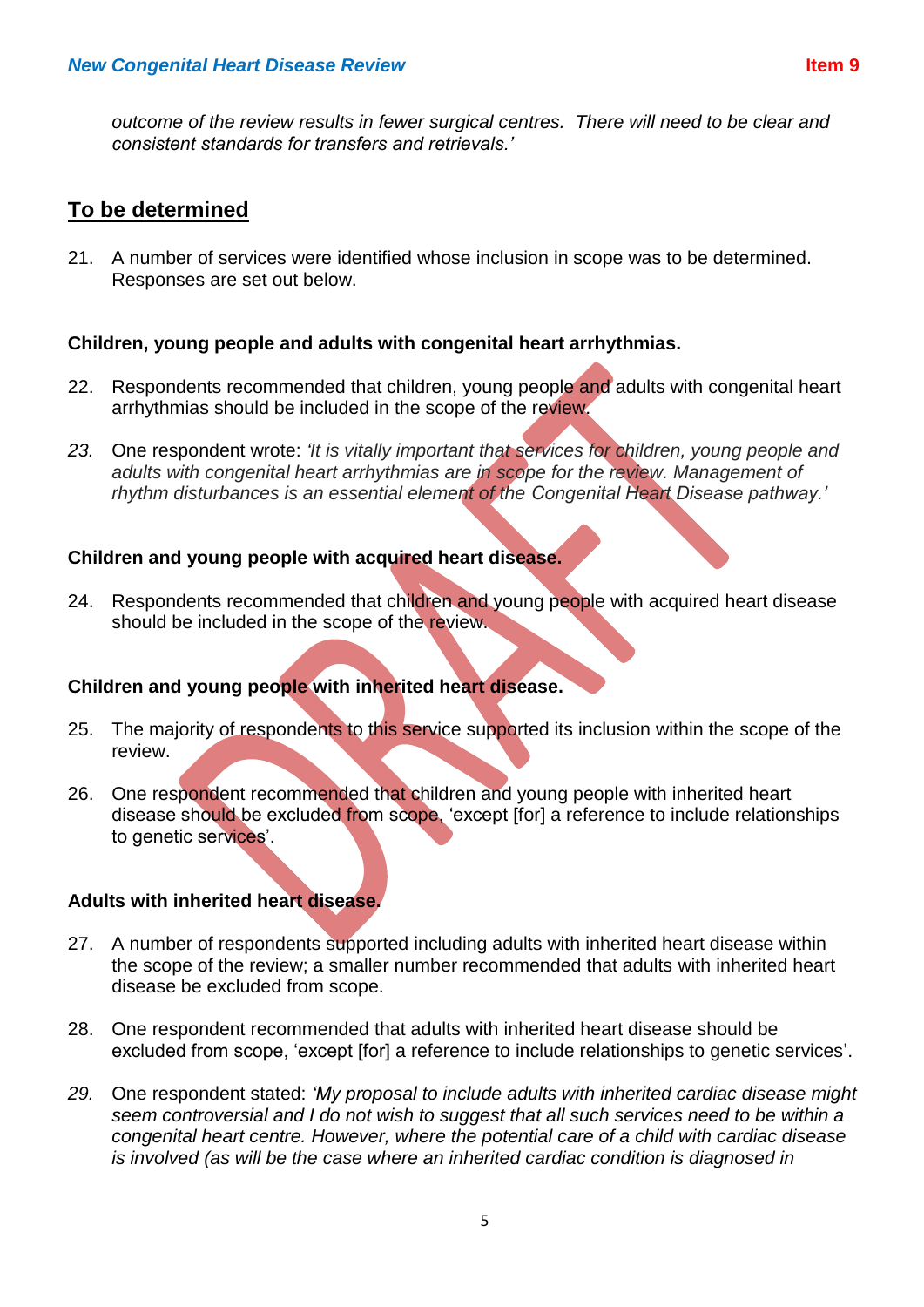*outcome of the review results in fewer surgical centres. There will need to be clear and consistent standards for transfers and retrievals.'*

# **To be determined**

21. A number of services were identified whose inclusion in scope was to be determined. Responses are set out below.

## **Children, young people and adults with congenital heart arrhythmias.**

- 22. Respondents recommended that children, young people and adults with congenital heart arrhythmias should be included in the scope of the review.
- *23.* One respondent wrote: *'It is vitally important that services for children, young people and adults with congenital heart arrhythmias are in scope for the review. Management of rhythm disturbances is an essential element of the Congenital Heart Disease pathway.'*

## **Children and young people with acquired heart disease.**

24. Respondents recommended that children and young people with acquired heart disease should be included in the scope of the review.

## **Children and young people with inherited heart disease.**

- 25. The majority of respondents to this service supported its inclusion within the scope of the review.
- 26. One respondent recommended that children and young people with inherited heart disease should be excluded from scope, 'except [for] a reference to include relationships to genetic services'.

## **Adults with inherited heart disease.**

- 27. A number of respondents supported including adults with inherited heart disease within the scope of the review; a smaller number recommended that adults with inherited heart disease be excluded from scope.
- 28. One respondent recommended that adults with inherited heart disease should be excluded from scope, 'except [for] a reference to include relationships to genetic services'.
- *29.* One respondent stated: *'My proposal to include adults with inherited cardiac disease might seem controversial and I do not wish to suggest that all such services need to be within a congenital heart centre. However, where the potential care of a child with cardiac disease is involved (as will be the case where an inherited cardiac condition is diagnosed in*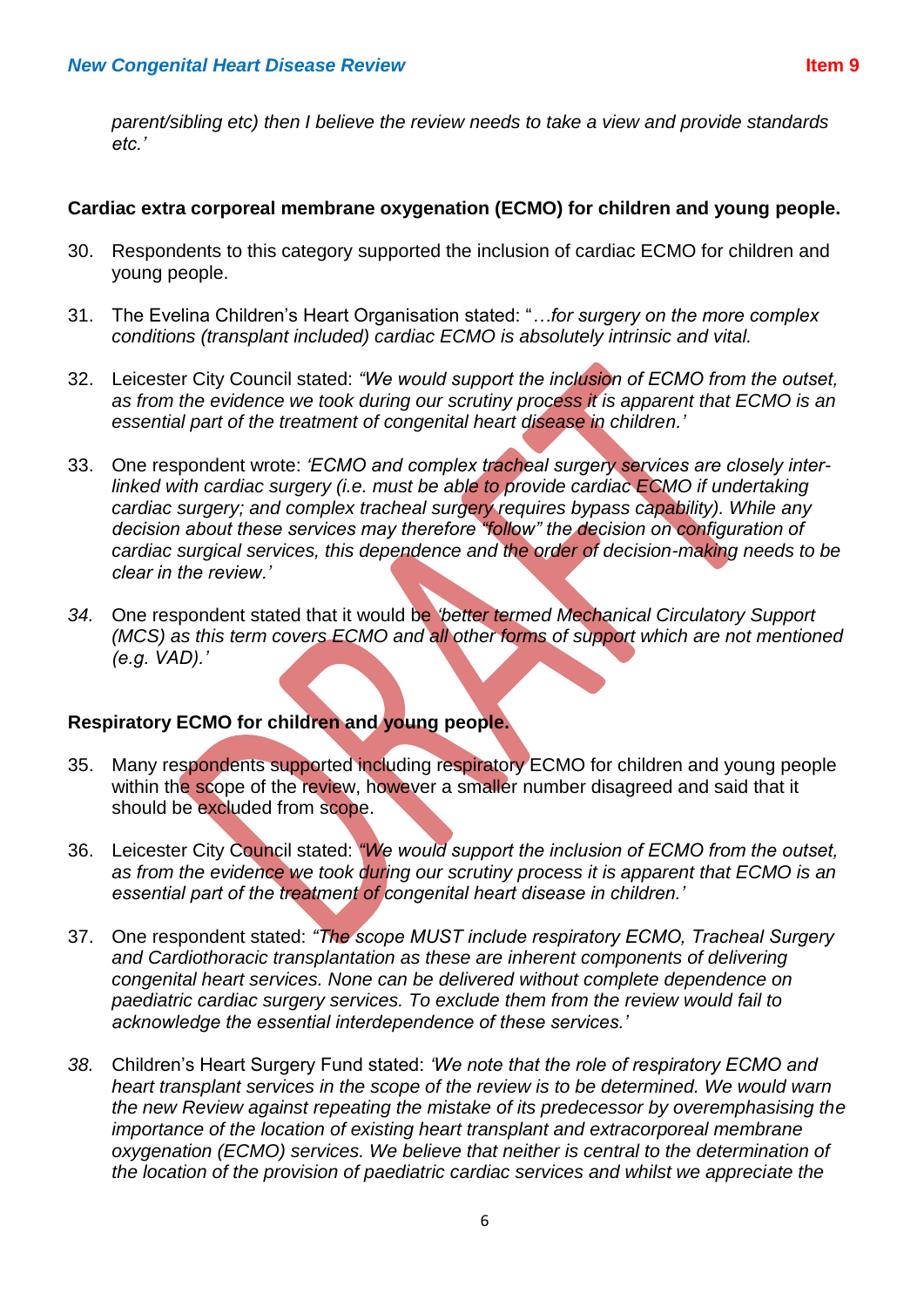*parent/sibling etc) then I believe the review needs to take a view and provide standards etc.'*

#### **Cardiac extra corporeal membrane oxygenation (ECMO) for children and young people.**

- 30. Respondents to this category supported the inclusion of cardiac ECMO for children and young people.
- 31. The Evelina Children's Heart Organisation stated: "*…for surgery on the more complex conditions (transplant included) cardiac ECMO is absolutely intrinsic and vital.*
- 32. Leicester City Council stated: *"We would support the inclusion of ECMO from the outset, as from the evidence we took during our scrutiny process it is apparent that ECMO is an essential part of the treatment of congenital heart disease in children.'*
- 33. One respondent wrote: *'ECMO and complex tracheal surgery services are closely interlinked with cardiac surgery (i.e. must be able to provide cardiac ECMO if undertaking cardiac surgery; and complex tracheal surgery requires bypass capability). While any decision about these services may therefore "follow" the decision on configuration of cardiac surgical services, this dependence and the order of decision-making needs to be clear in the review.'*
- *34.* One respondent stated that it would be *'better termed Mechanical Circulatory Support (MCS) as this term covers ECMO and all other forms of support which are not mentioned (e.g. VAD).'*

## **Respiratory ECMO for children and young people.**

- 35. Many respondents supported including respiratory ECMO for children and young people within the scope of the review, however a smaller number disagreed and said that it should be excluded from scope.
- 36. Leicester City Council stated: *"We would support the inclusion of ECMO from the outset, as from the evidence we took during our scrutiny process it is apparent that ECMO is an essential part of the treatment of congenital heart disease in children.'*
- 37. One respondent stated: *"The scope MUST include respiratory ECMO, Tracheal Surgery and Cardiothoracic transplantation as these are inherent components of delivering congenital heart services. None can be delivered without complete dependence on paediatric cardiac surgery services. To exclude them from the review would fail to acknowledge the essential interdependence of these services.'*
- *38.* Children's Heart Surgery Fund stated: *'We note that the role of respiratory ECMO and heart transplant services in the scope of the review is to be determined. We would warn the new Review against repeating the mistake of its predecessor by overemphasising the importance of the location of existing heart transplant and extracorporeal membrane oxygenation (ECMO) services. We believe that neither is central to the determination of the location of the provision of paediatric cardiac services and whilst we appreciate the*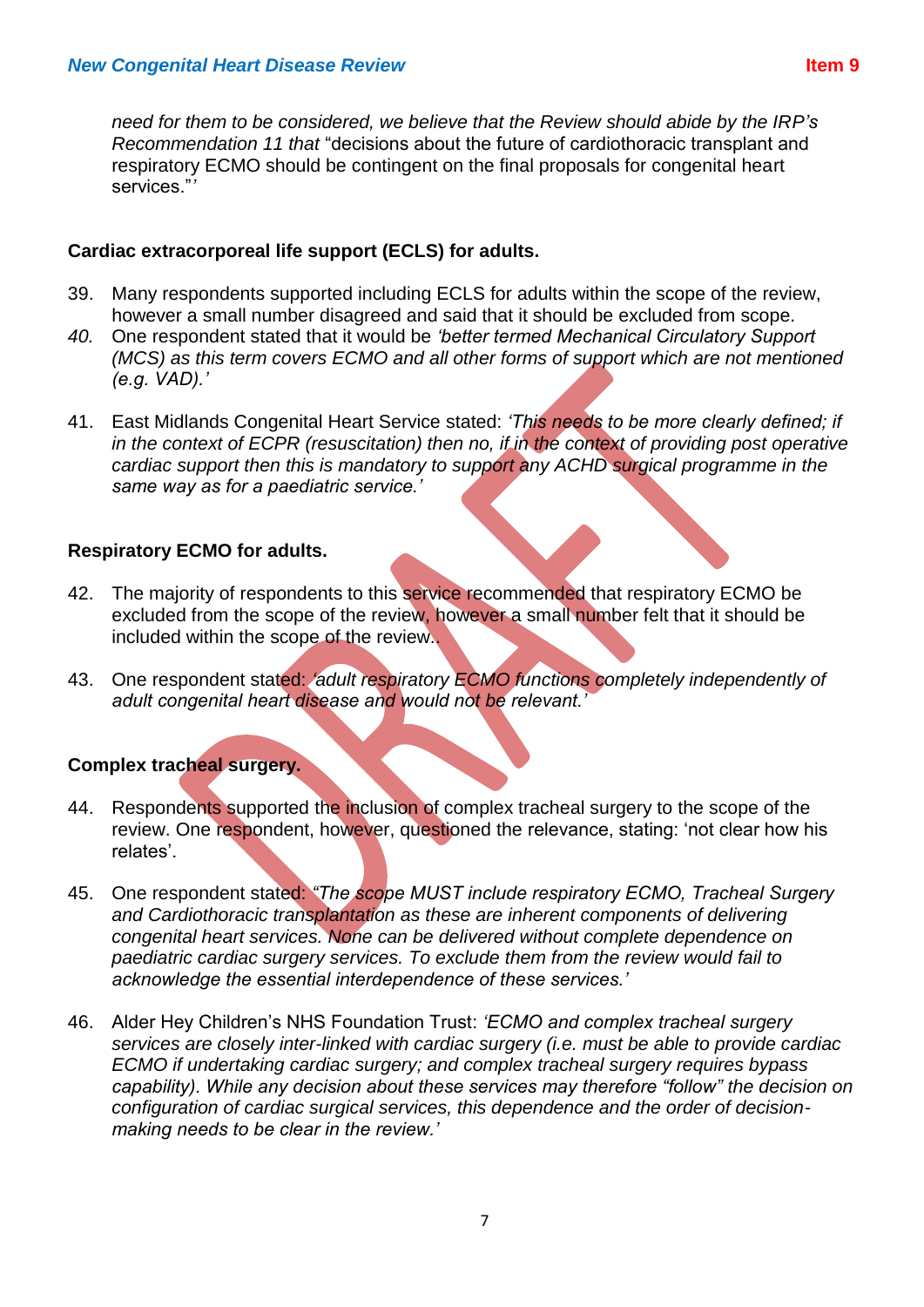*need for them to be considered, we believe that the Review should abide by the IRP's Recommendation 11 that* "decisions about the future of cardiothoracic transplant and respiratory ECMO should be contingent on the final proposals for congenital heart services."*'*

#### **Cardiac extracorporeal life support (ECLS) for adults.**

- 39. Many respondents supported including ECLS for adults within the scope of the review, however a small number disagreed and said that it should be excluded from scope.
- *40.* One respondent stated that it would be *'better termed Mechanical Circulatory Support (MCS) as this term covers ECMO and all other forms of support which are not mentioned (e.g. VAD).'*
- 41. East Midlands Congenital Heart Service stated: *'This needs to be more clearly defined; if in the context of ECPR (resuscitation) then no, if in the context of providing post operative cardiac support then this is mandatory to support any ACHD surgical programme in the same way as for a paediatric service.'*

#### **Respiratory ECMO for adults.**

- 42. The majority of respondents to this service recommended that respiratory ECMO be excluded from the scope of the review, however a small number felt that it should be included within the scope of the review..
- 43. One respondent stated: *'adult respiratory ECMO functions completely independently of adult congenital heart disease and would not be relevant.'*

## **Complex tracheal surgery.**

- 44. Respondents supported the inclusion of complex tracheal surgery to the scope of the review. One respondent, however, questioned the relevance, stating: 'not clear how his relates'.
- 45. One respondent stated: *"The scope MUST include respiratory ECMO, Tracheal Surgery and Cardiothoracic transplantation as these are inherent components of delivering congenital heart services. None can be delivered without complete dependence on paediatric cardiac surgery services. To exclude them from the review would fail to acknowledge the essential interdependence of these services.'*
- 46. Alder Hey Children's NHS Foundation Trust: *'ECMO and complex tracheal surgery services are closely inter-linked with cardiac surgery (i.e. must be able to provide cardiac ECMO if undertaking cardiac surgery; and complex tracheal surgery requires bypass capability). While any decision about these services may therefore "follow" the decision on configuration of cardiac surgical services, this dependence and the order of decisionmaking needs to be clear in the review.'*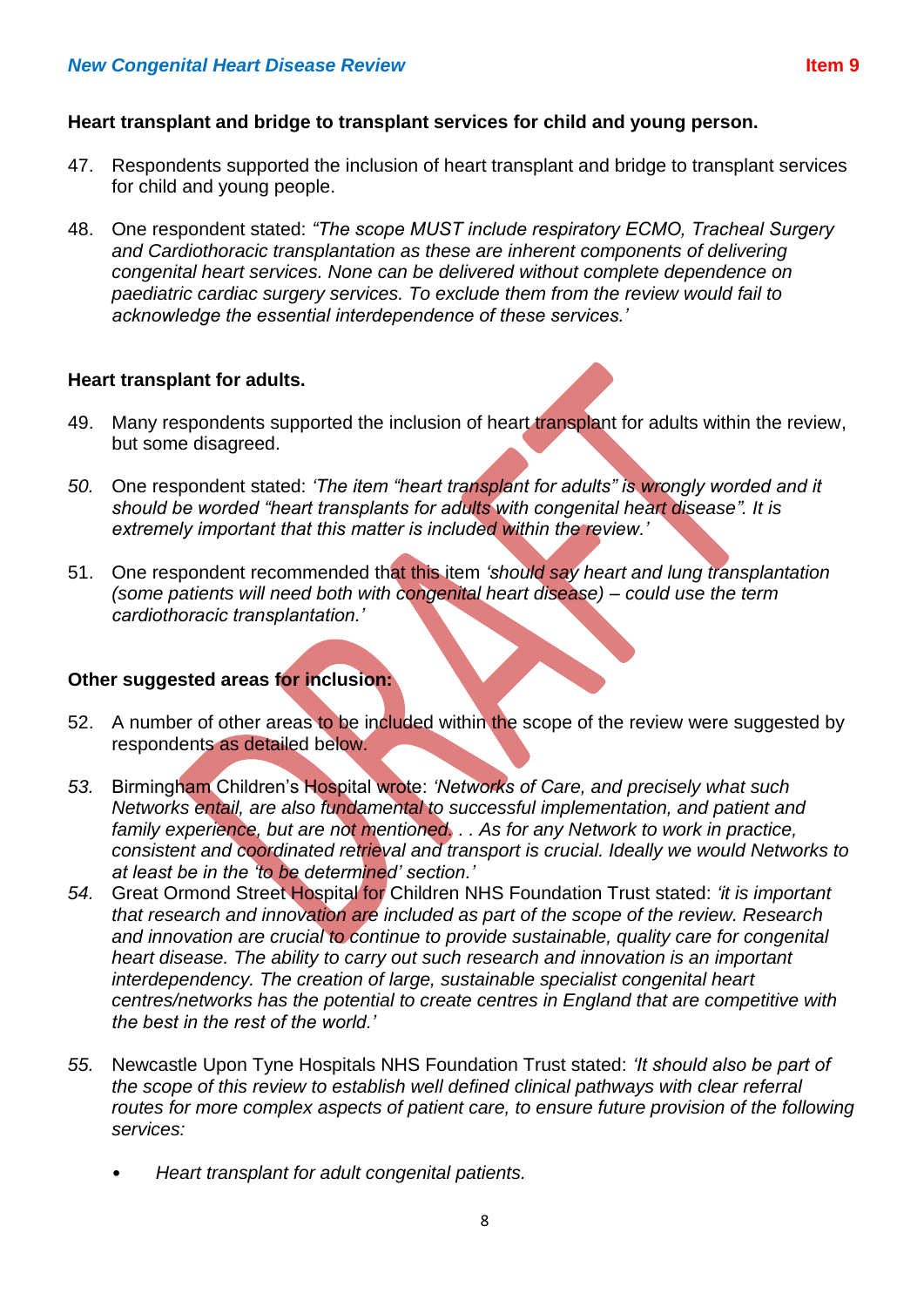#### **Heart transplant and bridge to transplant services for child and young person.**

- 47. Respondents supported the inclusion of heart transplant and bridge to transplant services for child and young people.
- 48. One respondent stated: *"The scope MUST include respiratory ECMO, Tracheal Surgery and Cardiothoracic transplantation as these are inherent components of delivering congenital heart services. None can be delivered without complete dependence on paediatric cardiac surgery services. To exclude them from the review would fail to acknowledge the essential interdependence of these services.'*

#### **Heart transplant for adults.**

- 49. Many respondents supported the inclusion of heart transplant for adults within the review, but some disagreed.
- *50.* One respondent stated: *'The item "heart transplant for adults" is wrongly worded and it should be worded "heart transplants for adults with congenital heart disease". It is extremely important that this matter is included within the review.'*
- 51. One respondent recommended that this item *'should say heart and lung transplantation (some patients will need both with congenital heart disease) – could use the term cardiothoracic transplantation.'*

#### **Other suggested areas for inclusion:**

- 52. A number of other areas to be included within the scope of the review were suggested by respondents as detailed below.
- *53.* Birmingham Children's Hospital wrote: *'Networks of Care, and precisely what such Networks entail, are also fundamental to successful implementation, and patient and*  family experience, but are not mentioned. . . As for any Network to work in practice, *consistent and coordinated retrieval and transport is crucial. Ideally we would Networks to at least be in the 'to be determined' section.'*
- *54.* Great Ormond Street Hospital for Children NHS Foundation Trust stated: *'it is important that research and innovation are included as part of the scope of the review. Research and innovation are crucial to continue to provide sustainable, quality care for congenital heart disease. The ability to carry out such research and innovation is an important interdependency. The creation of large, sustainable specialist congenital heart centres/networks has the potential to create centres in England that are competitive with the best in the rest of the world.'*
- *55.* Newcastle Upon Tyne Hospitals NHS Foundation Trust stated: *'It should also be part of the scope of this review to establish well defined clinical pathways with clear referral*  routes for more complex aspects of patient care, to ensure future provision of the following *services:* 
	- *Heart transplant for adult congenital patients.*